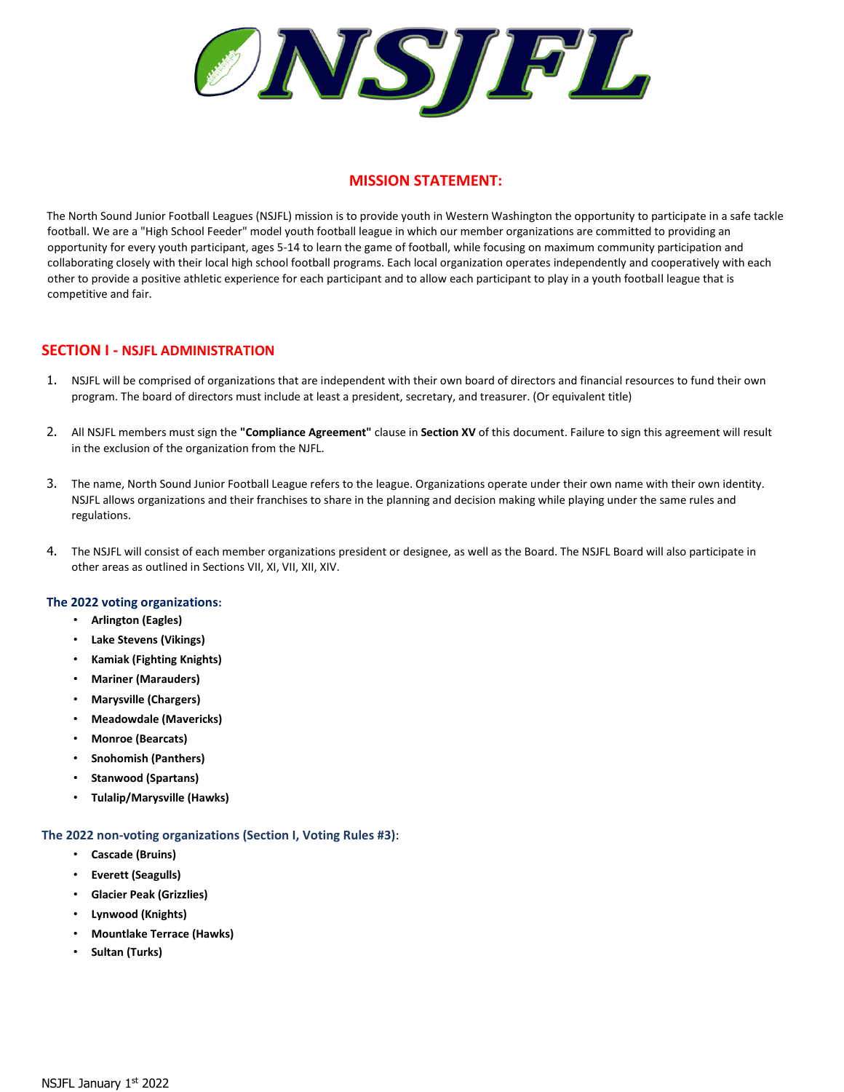ONSIPL

# **MISSION STATEMENT:**

The North Sound Junior Football Leagues (NSJFL) mission is to provide youth in Western Washington the opportunity to participate in a safe tackle football. We are a "High School Feeder" model youth football league in which our member organizations are committed to providing an opportunity for every youth participant, ages 5-14 to learn the game of football, while focusing on maximum community participation and collaborating closely with their local high school football programs. Each local organization operates independently and cooperatively with each other to provide a positive athletic experience for each participant and to allow each participant to play in a youth football league that is competitive and fair.

## **SECTION I - NSJFL ADMINISTRATION**

- 1. NSJFL will be comprised of organizations that are independent with their own board of directors and financial resources to fund their own program. The board of directors must include at least a president, secretary, and treasurer. (Or equivalent title)
- 2. All NSJFL members must sign the **"Compliance Agreement"** clause in **Section XV** of this document. Failure to sign this agreement will result in the exclusion of the organization from the NJFL.
- 3. The name, North Sound Junior Football League refers to the league. Organizations operate under their own name with their own identity. NSJFL allows organizations and their franchises to share in the planning and decision making while playing under the same rules and regulations.
- 4. The NSJFL will consist of each member organizations president or designee, as well as the Board. The NSJFL Board will also participate in other areas as outlined in Sections VII, XI, VII, XII, XIV.

## **The 2022 voting organizations:**

- **Arlington (Eagles)**
- **Lake Stevens (Vikings)**
- **Kamiak (Fighting Knights)**
- **Mariner (Marauders)**
- **Marysville (Chargers)**
- **Meadowdale (Mavericks)**
- **Monroe (Bearcats)**
- **Snohomish (Panthers)**
- **Stanwood (Spartans)**
- **Tulalip/Marysville (Hawks)**

## **The 2022 non-voting organizations (Section I, Voting Rules #3)**:

- **Cascade (Bruins)**
- **Everett (Seagulls)**
- **Glacier Peak (Grizzlies)**
- **Lynwood (Knights)**
- **Mountlake Terrace (Hawks)**
- **Sultan (Turks)**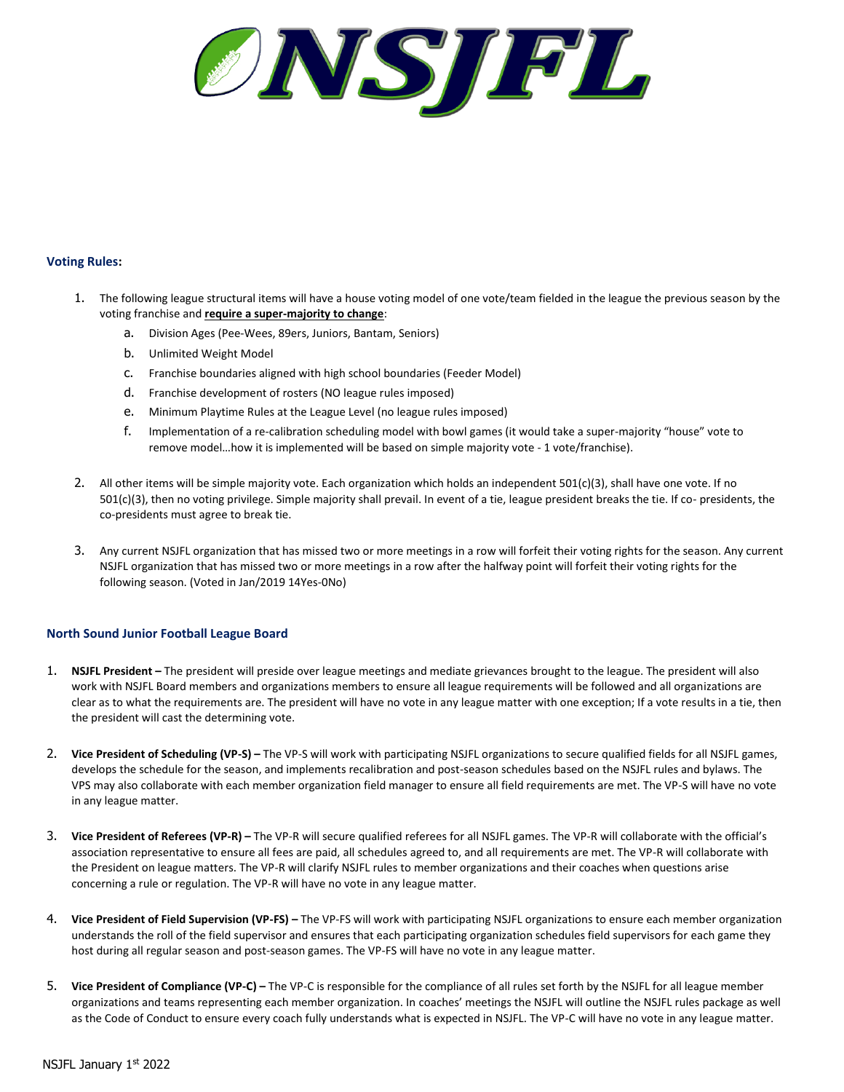

## **Voting Rules:**

- 1. The following league structural items will have a house voting model of one vote/team fielded in the league the previous season by the voting franchise and **require a super-majority to change**:
	- a. Division Ages (Pee-Wees, 89ers, Juniors, Bantam, Seniors)
	- b. Unlimited Weight Model
	- c. Franchise boundaries aligned with high school boundaries (Feeder Model)
	- d. Franchise development of rosters (NO league rules imposed)
	- e. Minimum Playtime Rules at the League Level (no league rules imposed)
	- f. Implementation of a re-calibration scheduling model with bowl games (it would take a super-majority "house" vote to remove model…how it is implemented will be based on simple majority vote - 1 vote/franchise).
- 2. All other items will be simple majority vote. Each organization which holds an independent 501(c)(3), shall have one vote. If no 501(c)(3), then no voting privilege. Simple majority shall prevail. In event of a tie, league president breaks the tie. If co- presidents, the co-presidents must agree to break tie.
- 3. Any current NSJFL organization that has missed two or more meetings in a row will forfeit their voting rights for the season. Any current NSJFL organization that has missed two or more meetings in a row after the halfway point will forfeit their voting rights for the following season. (Voted in Jan/2019 14Yes-0No)

## **North Sound Junior Football League Board**

- 1. **NSJFL President –** The president will preside over league meetings and mediate grievances brought to the league. The president will also work with NSJFL Board members and organizations members to ensure all league requirements will be followed and all organizations are clear as to what the requirements are. The president will have no vote in any league matter with one exception; If a vote results in a tie, then the president will cast the determining vote.
- 2. **Vice President of Scheduling (VP-S) –** The VP-S will work with participating NSJFL organizations to secure qualified fields for all NSJFL games, develops the schedule for the season, and implements recalibration and post-season schedules based on the NSJFL rules and bylaws. The VPS may also collaborate with each member organization field manager to ensure all field requirements are met. The VP-S will have no vote in any league matter.
- 3. **Vice President of Referees (VP-R) –** The VP-R will secure qualified referees for all NSJFL games. The VP-R will collaborate with the official's association representative to ensure all fees are paid, all schedules agreed to, and all requirements are met. The VP-R will collaborate with the President on league matters. The VP-R will clarify NSJFL rules to member organizations and their coaches when questions arise concerning a rule or regulation. The VP-R will have no vote in any league matter.
- 4. **Vice President of Field Supervision (VP-FS) –** The VP-FS will work with participating NSJFL organizations to ensure each member organization understands the roll of the field supervisor and ensures that each participating organization schedules field supervisors for each game they host during all regular season and post-season games. The VP-FS will have no vote in any league matter.
- 5. **Vice President of Compliance (VP-C) –** The VP-C is responsible for the compliance of all rules set forth by the NSJFL for all league member organizations and teams representing each member organization. In coaches' meetings the NSJFL will outline the NSJFL rules package as well as the Code of Conduct to ensure every coach fully understands what is expected in NSJFL. The VP-C will have no vote in any league matter.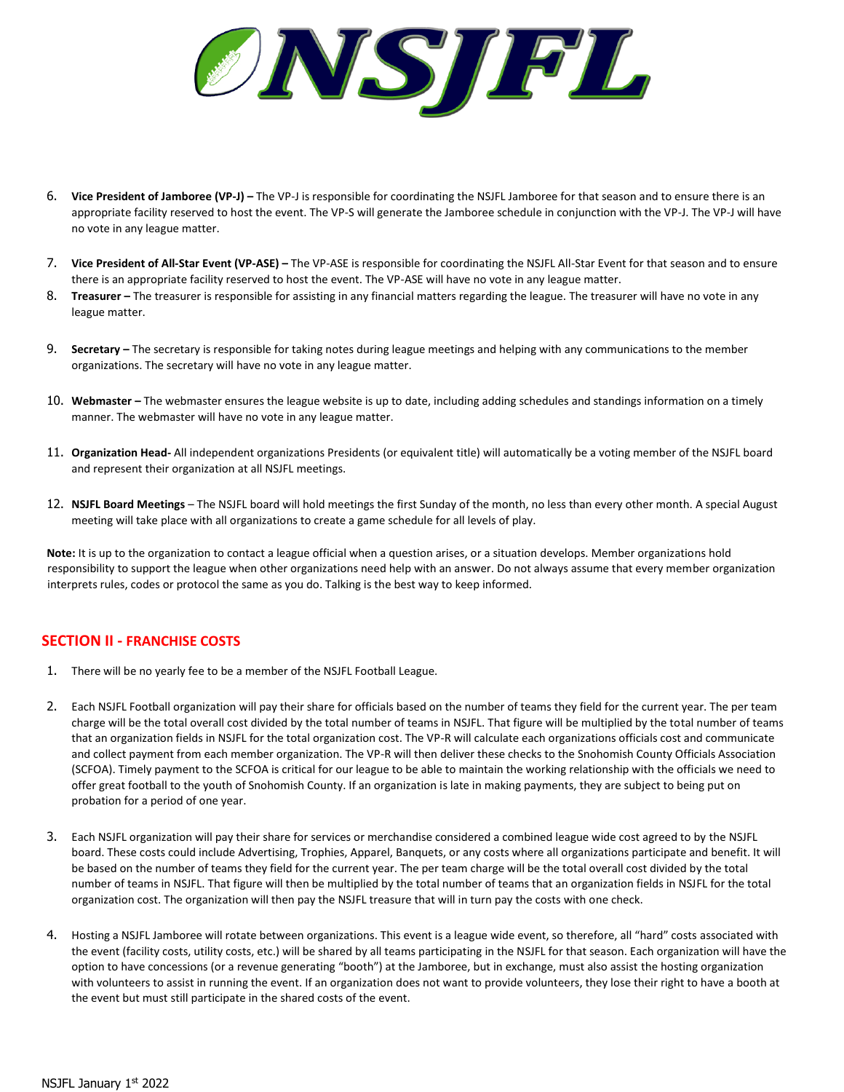ØNSTPL

- 6. **Vice President of Jamboree (VP-J) –** The VP-J is responsible for coordinating the NSJFL Jamboree for that season and to ensure there is an appropriate facility reserved to host the event. The VP-S will generate the Jamboree schedule in conjunction with the VP-J. The VP-J will have no vote in any league matter.
- 7. **Vice President of All-Star Event (VP-ASE) –** The VP-ASE is responsible for coordinating the NSJFL All-Star Event for that season and to ensure there is an appropriate facility reserved to host the event. The VP-ASE will have no vote in any league matter.
- 8. **Treasurer –** The treasurer is responsible for assisting in any financial matters regarding the league. The treasurer will have no vote in any league matter.
- 9. **Secretary –** The secretary is responsible for taking notes during league meetings and helping with any communications to the member organizations. The secretary will have no vote in any league matter.
- 10. **Webmaster –** The webmaster ensures the league website is up to date, including adding schedules and standings information on a timely manner. The webmaster will have no vote in any league matter.
- 11. **Organization Head-** All independent organizations Presidents (or equivalent title) will automatically be a voting member of the NSJFL board and represent their organization at all NSJFL meetings.
- 12. **NSJFL Board Meetings**  The NSJFL board will hold meetings the first Sunday of the month, no less than every other month. A special August meeting will take place with all organizations to create a game schedule for all levels of play.

**Note:** It is up to the organization to contact a league official when a question arises, or a situation develops. Member organizations hold responsibility to support the league when other organizations need help with an answer. Do not always assume that every member organization interprets rules, codes or protocol the same as you do. Talking is the best way to keep informed.

# **SECTION II - FRANCHISE COSTS**

- 1. There will be no yearly fee to be a member of the NSJFL Football League.
- 2. Each NSJFL Football organization will pay their share for officials based on the number of teams they field for the current year. The per team charge will be the total overall cost divided by the total number of teams in NSJFL. That figure will be multiplied by the total number of teams that an organization fields in NSJFL for the total organization cost. The VP-R will calculate each organizations officials cost and communicate and collect payment from each member organization. The VP-R will then deliver these checks to the Snohomish County Officials Association (SCFOA). Timely payment to the SCFOA is critical for our league to be able to maintain the working relationship with the officials we need to offer great football to the youth of Snohomish County. If an organization is late in making payments, they are subject to being put on probation for a period of one year.
- 3. Each NSJFL organization will pay their share for services or merchandise considered a combined league wide cost agreed to by the NSJFL board. These costs could include Advertising, Trophies, Apparel, Banquets, or any costs where all organizations participate and benefit. It will be based on the number of teams they field for the current year. The per team charge will be the total overall cost divided by the total number of teams in NSJFL. That figure will then be multiplied by the total number of teams that an organization fields in NSJFL for the total organization cost. The organization will then pay the NSJFL treasure that will in turn pay the costs with one check.
- 4. Hosting a NSJFL Jamboree will rotate between organizations. This event is a league wide event, so therefore, all "hard" costs associated with the event (facility costs, utility costs, etc.) will be shared by all teams participating in the NSJFL for that season. Each organization will have the option to have concessions (or a revenue generating "booth") at the Jamboree, but in exchange, must also assist the hosting organization with volunteers to assist in running the event. If an organization does not want to provide volunteers, they lose their right to have a booth at the event but must still participate in the shared costs of the event.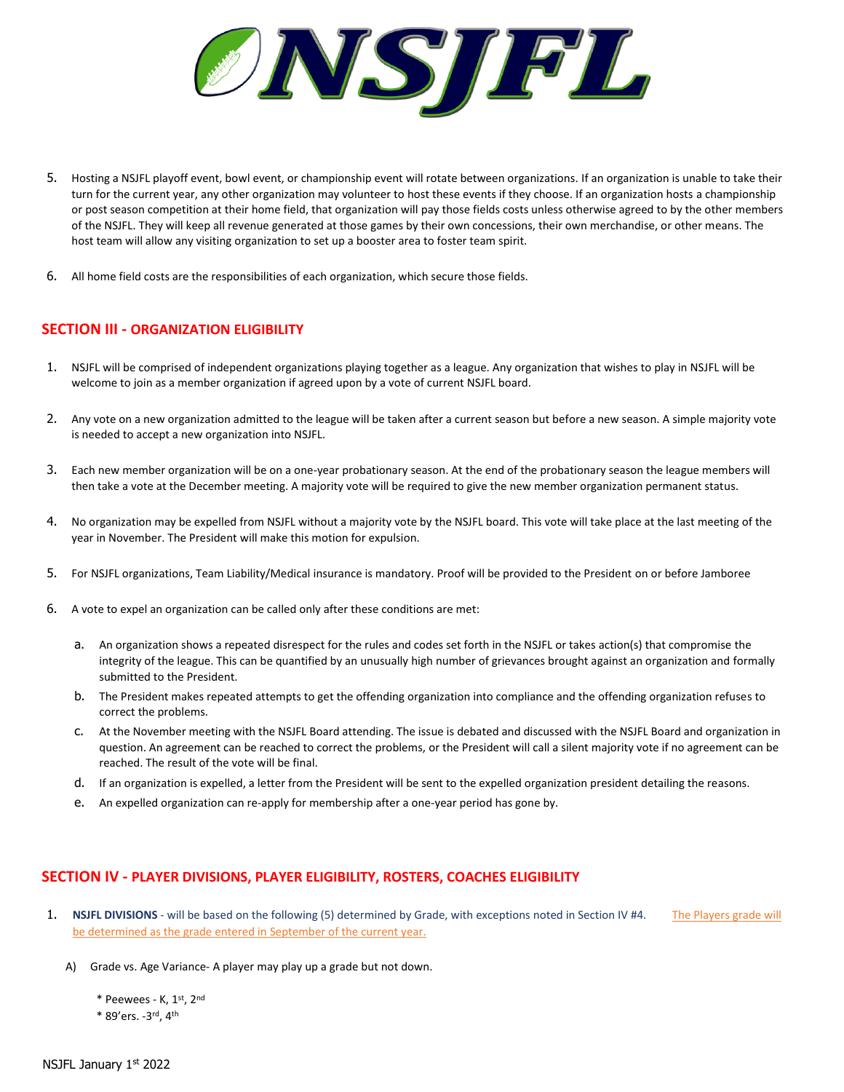

- 5. Hosting a NSJFL playoff event, bowl event, or championship event will rotate between organizations. If an organization is unable to take their turn for the current year, any other organization may volunteer to host these events if they choose. If an organization hosts a championship or post season competition at their home field, that organization will pay those fields costs unless otherwise agreed to by the other members of the NSJFL. They will keep all revenue generated at those games by their own concessions, their own merchandise, or other means. The host team will allow any visiting organization to set up a booster area to foster team spirit.
- 6. All home field costs are the responsibilities of each organization, which secure those fields.

## **SECTION III - ORGANIZATION ELIGIBILITY**

- 1. NSJFL will be comprised of independent organizations playing together as a league. Any organization that wishes to play in NSJFL will be welcome to join as a member organization if agreed upon by a vote of current NSJFL board.
- 2. Any vote on a new organization admitted to the league will be taken after a current season but before a new season. A simple majority vote is needed to accept a new organization into NSJFL.
- 3. Each new member organization will be on a one-year probationary season. At the end of the probationary season the league members will then take a vote at the December meeting. A majority vote will be required to give the new member organization permanent status.
- 4. No organization may be expelled from NSJFL without a majority vote by the NSJFL board. This vote will take place at the last meeting of the year in November. The President will make this motion for expulsion.
- 5. For NSJFL organizations, Team Liability/Medical insurance is mandatory. Proof will be provided to the President on or before Jamboree
- 6. A vote to expel an organization can be called only after these conditions are met:
	- a. An organization shows a repeated disrespect for the rules and codes set forth in the NSJFL or takes action(s) that compromise the integrity of the league. This can be quantified by an unusually high number of grievances brought against an organization and formally submitted to the President.
	- b. The President makes repeated attempts to get the offending organization into compliance and the offending organization refuses to correct the problems.
	- c. At the November meeting with the NSJFL Board attending. The issue is debated and discussed with the NSJFL Board and organization in question. An agreement can be reached to correct the problems, or the President will call a silent majority vote if no agreement can be reached. The result of the vote will be final.
	- d. If an organization is expelled, a letter from the President will be sent to the expelled organization president detailing the reasons.
	- e. An expelled organization can re-apply for membership after a one-year period has gone by.

## **SECTION IV - PLAYER DIVISIONS, PLAYER ELIGIBILITY, ROSTERS, COACHES ELIGIBILITY**

- 1. **NSJFL DIVISIONS** will be based on the following (5) determined by Grade, with exceptions noted in Section IV #4. The Players grade will be determined as the grade entered in September of the current year.
	- A) Grade vs. Age Variance- A player may play up a grade but not down.
		- \* Peewees K, 1st, 2nd
		- \* 89'ers. -3 rd, 4th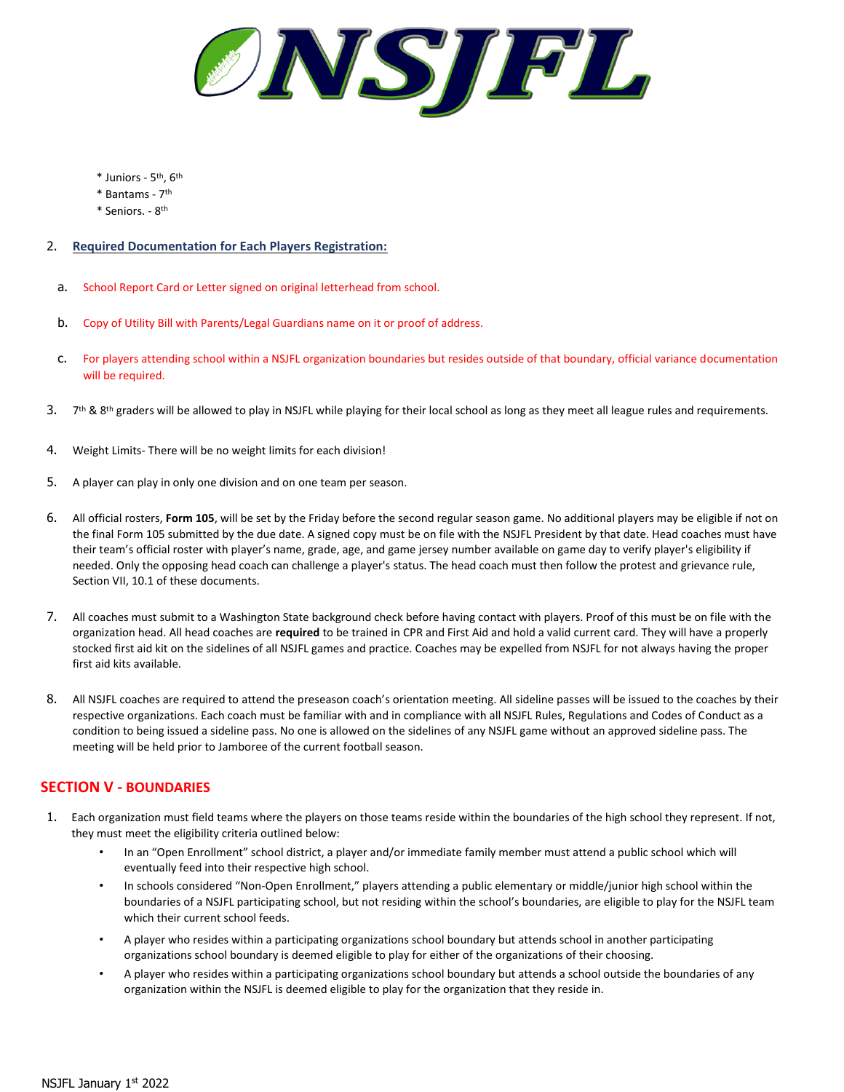

- \* Juniors 5 th, 6th
- \* Bantams 7 th
- \* Seniors. 8<sup>th</sup>

## 2. **Required Documentation for Each Players Registration:**

- a. School Report Card or Letter signed on original letterhead from school.
- b. Copy of Utility Bill with Parents/Legal Guardians name on it or proof of address.
- c. For players attending school within a NSJFL organization boundaries but resides outside of that boundary, official variance documentation will be required.
- 3. 7<sup>th</sup> & 8<sup>th</sup> graders will be allowed to play in NSJFL while playing for their local school as long as they meet all league rules and requirements.
- 4. Weight Limits- There will be no weight limits for each division!
- 5. A player can play in only one division and on one team per season.
- 6. All official rosters, **Form 105**, will be set by the Friday before the second regular season game. No additional players may be eligible if not on the final Form 105 submitted by the due date. A signed copy must be on file with the NSJFL President by that date. Head coaches must have their team's official roster with player's name, grade, age, and game jersey number available on game day to verify player's eligibility if needed. Only the opposing head coach can challenge a player's status. The head coach must then follow the protest and grievance rule, Section VII, 10.1 of these documents.
- 7. All coaches must submit to a Washington State background check before having contact with players. Proof of this must be on file with the organization head. All head coaches are **required** to be trained in CPR and First Aid and hold a valid current card. They will have a properly stocked first aid kit on the sidelines of all NSJFL games and practice. Coaches may be expelled from NSJFL for not always having the proper first aid kits available.
- 8. All NSJFL coaches are required to attend the preseason coach's orientation meeting. All sideline passes will be issued to the coaches by their respective organizations. Each coach must be familiar with and in compliance with all NSJFL Rules, Regulations and Codes of Conduct as a condition to being issued a sideline pass. No one is allowed on the sidelines of any NSJFL game without an approved sideline pass. The meeting will be held prior to Jamboree of the current football season.

## **SECTION V - BOUNDARIES**

- 1. Each organization must field teams where the players on those teams reside within the boundaries of the high school they represent. If not, they must meet the eligibility criteria outlined below:
	- In an "Open Enrollment" school district, a player and/or immediate family member must attend a public school which will eventually feed into their respective high school.
	- In schools considered "Non-Open Enrollment," players attending a public elementary or middle/junior high school within the boundaries of a NSJFL participating school, but not residing within the school's boundaries, are eligible to play for the NSJFL team which their current school feeds.
	- A player who resides within a participating organizations school boundary but attends school in another participating organizations school boundary is deemed eligible to play for either of the organizations of their choosing.
	- A player who resides within a participating organizations school boundary but attends a school outside the boundaries of any organization within the NSJFL is deemed eligible to play for the organization that they reside in.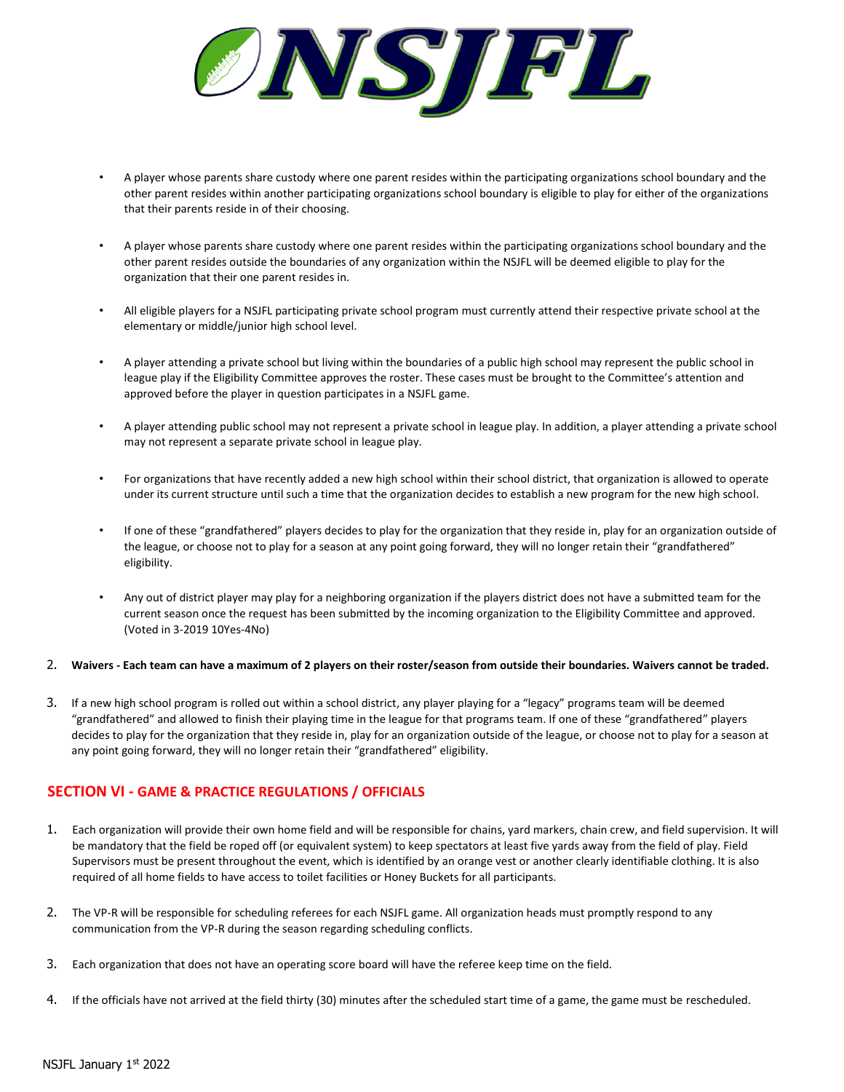

- A player whose parents share custody where one parent resides within the participating organizations school boundary and the other parent resides within another participating organizations school boundary is eligible to play for either of the organizations that their parents reside in of their choosing.
- A player whose parents share custody where one parent resides within the participating organizations school boundary and the other parent resides outside the boundaries of any organization within the NSJFL will be deemed eligible to play for the organization that their one parent resides in.
- All eligible players for a NSJFL participating private school program must currently attend their respective private school at the elementary or middle/junior high school level.
- A player attending a private school but living within the boundaries of a public high school may represent the public school in league play if the Eligibility Committee approves the roster. These cases must be brought to the Committee's attention and approved before the player in question participates in a NSJFL game.
- A player attending public school may not represent a private school in league play. In addition, a player attending a private school may not represent a separate private school in league play.
- For organizations that have recently added a new high school within their school district, that organization is allowed to operate under its current structure until such a time that the organization decides to establish a new program for the new high school.
- If one of these "grandfathered" players decides to play for the organization that they reside in, play for an organization outside of the league, or choose not to play for a season at any point going forward, they will no longer retain their "grandfathered" eligibility.
- Any out of district player may play for a neighboring organization if the players district does not have a submitted team for the current season once the request has been submitted by the incoming organization to the Eligibility Committee and approved. (Voted in 3-2019 10Yes-4No)

#### 2. **Waivers - Each team can have a maximum of 2 players on their roster/season from outside their boundaries. Waivers cannot be traded.**

3. If a new high school program is rolled out within a school district, any player playing for a "legacy" programs team will be deemed "grandfathered" and allowed to finish their playing time in the league for that programs team. If one of these "grandfathered" players decides to play for the organization that they reside in, play for an organization outside of the league, or choose not to play for a season at any point going forward, they will no longer retain their "grandfathered" eligibility.

# **SECTION VI - GAME & PRACTICE REGULATIONS / OFFICIALS**

- 1. Each organization will provide their own home field and will be responsible for chains, yard markers, chain crew, and field supervision. It will be mandatory that the field be roped off (or equivalent system) to keep spectators at least five yards away from the field of play. Field Supervisors must be present throughout the event, which is identified by an orange vest or another clearly identifiable clothing. It is also required of all home fields to have access to toilet facilities or Honey Buckets for all participants.
- 2. The VP-R will be responsible for scheduling referees for each NSJFL game. All organization heads must promptly respond to any communication from the VP-R during the season regarding scheduling conflicts.
- 3. Each organization that does not have an operating score board will have the referee keep time on the field.
- 4. If the officials have not arrived at the field thirty (30) minutes after the scheduled start time of a game, the game must be rescheduled.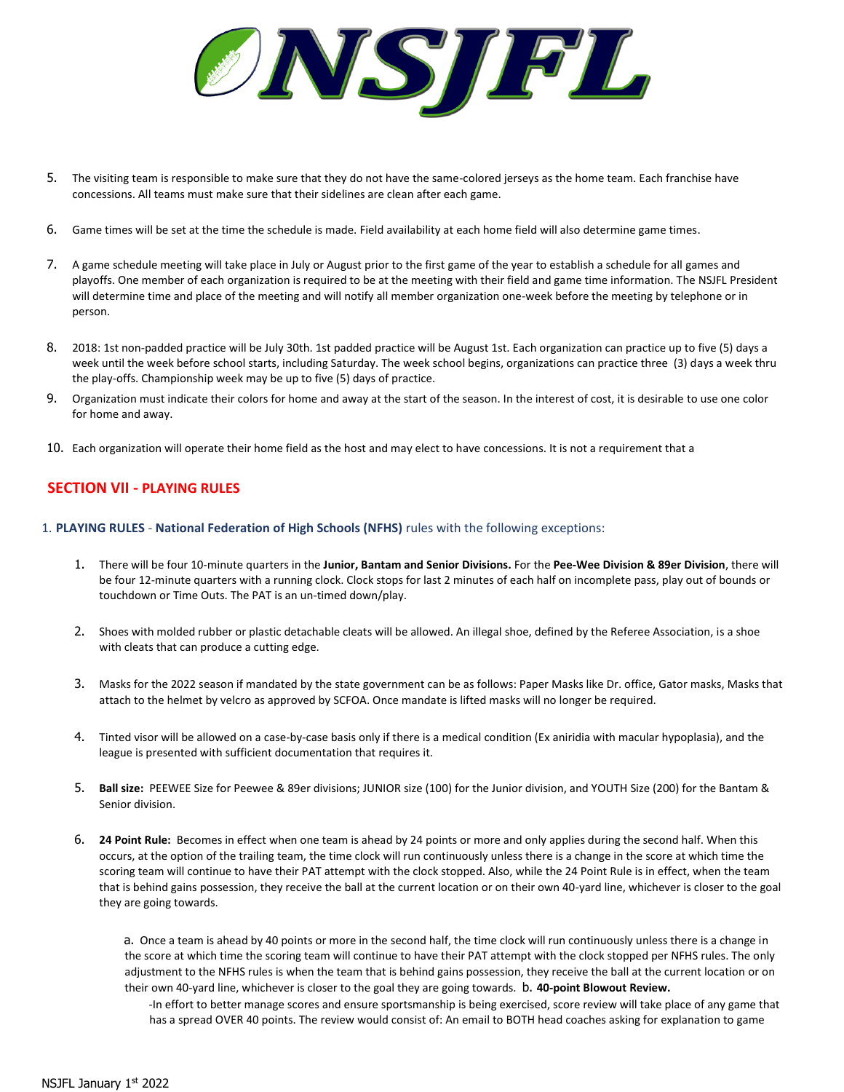

- 5. The visiting team is responsible to make sure that they do not have the same-colored jerseys as the home team. Each franchise have concessions. All teams must make sure that their sidelines are clean after each game.
- 6. Game times will be set at the time the schedule is made. Field availability at each home field will also determine game times.
- 7. A game schedule meeting will take place in July or August prior to the first game of the year to establish a schedule for all games and playoffs. One member of each organization is required to be at the meeting with their field and game time information. The NSJFL President will determine time and place of the meeting and will notify all member organization one-week before the meeting by telephone or in person.
- 8. 2018: 1st non-padded practice will be July 30th. 1st padded practice will be August 1st. Each organization can practice up to five (5) days a week until the week before school starts, including Saturday. The week school begins, organizations can practice three (3) days a week thru the play-offs. Championship week may be up to five (5) days of practice.
- 9. Organization must indicate their colors for home and away at the start of the season. In the interest of cost, it is desirable to use one color for home and away.
- 10. Each organization will operate their home field as the host and may elect to have concessions. It is not a requirement that a

# **SECTION VII - PLAYING RULES**

- 1. **PLAYING RULES National Federation of High Schools (NFHS)** rules with the following exceptions:
	- 1. There will be four 10-minute quarters in the **Junior, Bantam and Senior Divisions.** For the **Pee-Wee Division & 89er Division**, there will be four 12-minute quarters with a running clock. Clock stops for last 2 minutes of each half on incomplete pass, play out of bounds or touchdown or Time Outs. The PAT is an un-timed down/play.
	- 2. Shoes with molded rubber or plastic detachable cleats will be allowed. An illegal shoe, defined by the Referee Association, is a shoe with cleats that can produce a cutting edge.
	- 3. Masks for the 2022 season if mandated by the state government can be as follows: Paper Masks like Dr. office, Gator masks, Masks that attach to the helmet by velcro as approved by SCFOA. Once mandate is lifted masks will no longer be required.
	- 4. Tinted visor will be allowed on a case-by-case basis only if there is a medical condition (Ex aniridia with macular hypoplasia), and the league is presented with sufficient documentation that requires it.
	- 5. **Ball size:** PEEWEE Size for Peewee & 89er divisions; JUNIOR size (100) for the Junior division, and YOUTH Size (200) for the Bantam & Senior division.
	- 6. **24 Point Rule:** Becomes in effect when one team is ahead by 24 points or more and only applies during the second half. When this occurs, at the option of the trailing team, the time clock will run continuously unless there is a change in the score at which time the scoring team will continue to have their PAT attempt with the clock stopped. Also, while the 24 Point Rule is in effect, when the team that is behind gains possession, they receive the ball at the current location or on their own 40-yard line, whichever is closer to the goal they are going towards.

a. Once a team is ahead by 40 points or more in the second half, the time clock will run continuously unless there is a change in the score at which time the scoring team will continue to have their PAT attempt with the clock stopped per NFHS rules. The only adjustment to the NFHS rules is when the team that is behind gains possession, they receive the ball at the current location or on their own 40-yard line, whichever is closer to the goal they are going towards. b. **40-point Blowout Review.** 

-In effort to better manage scores and ensure sportsmanship is being exercised, score review will take place of any game that has a spread OVER 40 points. The review would consist of: An email to BOTH head coaches asking for explanation to game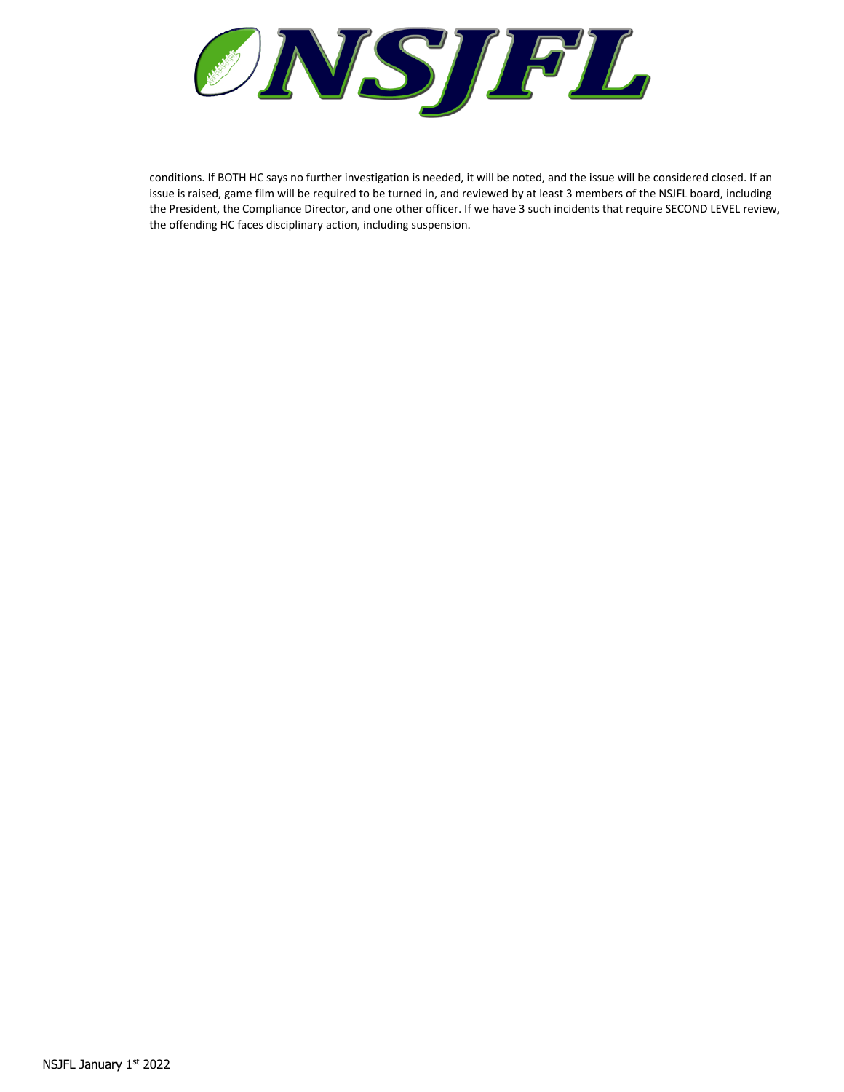

conditions. If BOTH HC says no further investigation is needed, it will be noted, and the issue will be considered closed. If an issue is raised, game film will be required to be turned in, and reviewed by at least 3 members of the NSJFL board, including the President, the Compliance Director, and one other officer. If we have 3 such incidents that require SECOND LEVEL review, the offending HC faces disciplinary action, including suspension.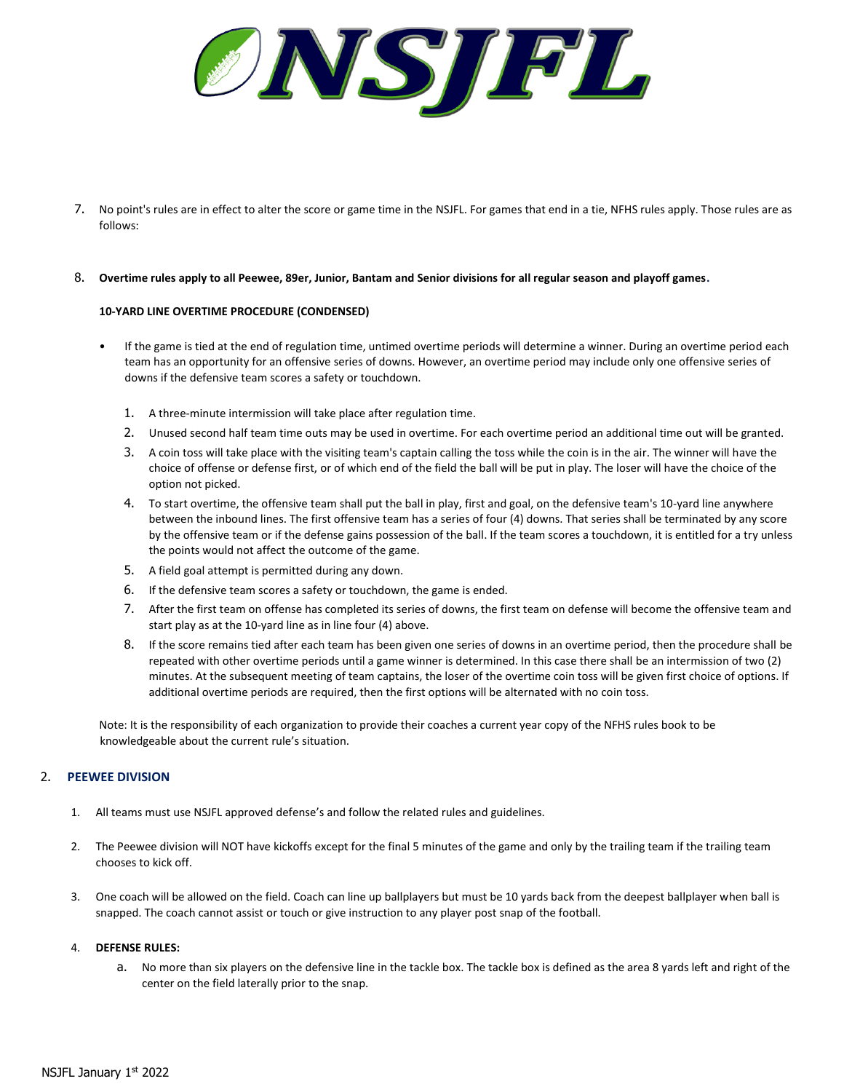ONSIPL

7. No point's rules are in effect to alter the score or game time in the NSJFL. For games that end in a tie, NFHS rules apply. Those rules are as follows:

#### 8. **Overtime rules apply to all Peewee, 89er, Junior, Bantam and Senior divisions for all regular season and playoff games.**

### **10-YARD LINE OVERTIME PROCEDURE (CONDENSED)**

- If the game is tied at the end of regulation time, untimed overtime periods will determine a winner. During an overtime period each team has an opportunity for an offensive series of downs. However, an overtime period may include only one offensive series of downs if the defensive team scores a safety or touchdown.
	- 1. A three-minute intermission will take place after regulation time.
	- 2. Unused second half team time outs may be used in overtime. For each overtime period an additional time out will be granted.
	- 3. A coin toss will take place with the visiting team's captain calling the toss while the coin is in the air. The winner will have the choice of offense or defense first, or of which end of the field the ball will be put in play. The loser will have the choice of the option not picked.
	- 4. To start overtime, the offensive team shall put the ball in play, first and goal, on the defensive team's 10-yard line anywhere between the inbound lines. The first offensive team has a series of four (4) downs. That series shall be terminated by any score by the offensive team or if the defense gains possession of the ball. If the team scores a touchdown, it is entitled for a try unless the points would not affect the outcome of the game.
	- 5. A field goal attempt is permitted during any down.
	- 6. If the defensive team scores a safety or touchdown, the game is ended.
	- 7. After the first team on offense has completed its series of downs, the first team on defense will become the offensive team and start play as at the 10-yard line as in line four (4) above.
	- 8. If the score remains tied after each team has been given one series of downs in an overtime period, then the procedure shall be repeated with other overtime periods until a game winner is determined. In this case there shall be an intermission of two (2) minutes. At the subsequent meeting of team captains, the loser of the overtime coin toss will be given first choice of options. If additional overtime periods are required, then the first options will be alternated with no coin toss.

Note: It is the responsibility of each organization to provide their coaches a current year copy of the NFHS rules book to be knowledgeable about the current rule's situation.

## 2. **PEEWEE DIVISION**

- 1. All teams must use NSJFL approved defense's and follow the related rules and guidelines.
- 2. The Peewee division will NOT have kickoffs except for the final 5 minutes of the game and only by the trailing team if the trailing team chooses to kick off.
- 3. One coach will be allowed on the field. Coach can line up ballplayers but must be 10 yards back from the deepest ballplayer when ball is snapped. The coach cannot assist or touch or give instruction to any player post snap of the football.

### 4. **DEFENSE RULES:**

a. No more than six players on the defensive line in the tackle box. The tackle box is defined as the area 8 yards left and right of the center on the field laterally prior to the snap.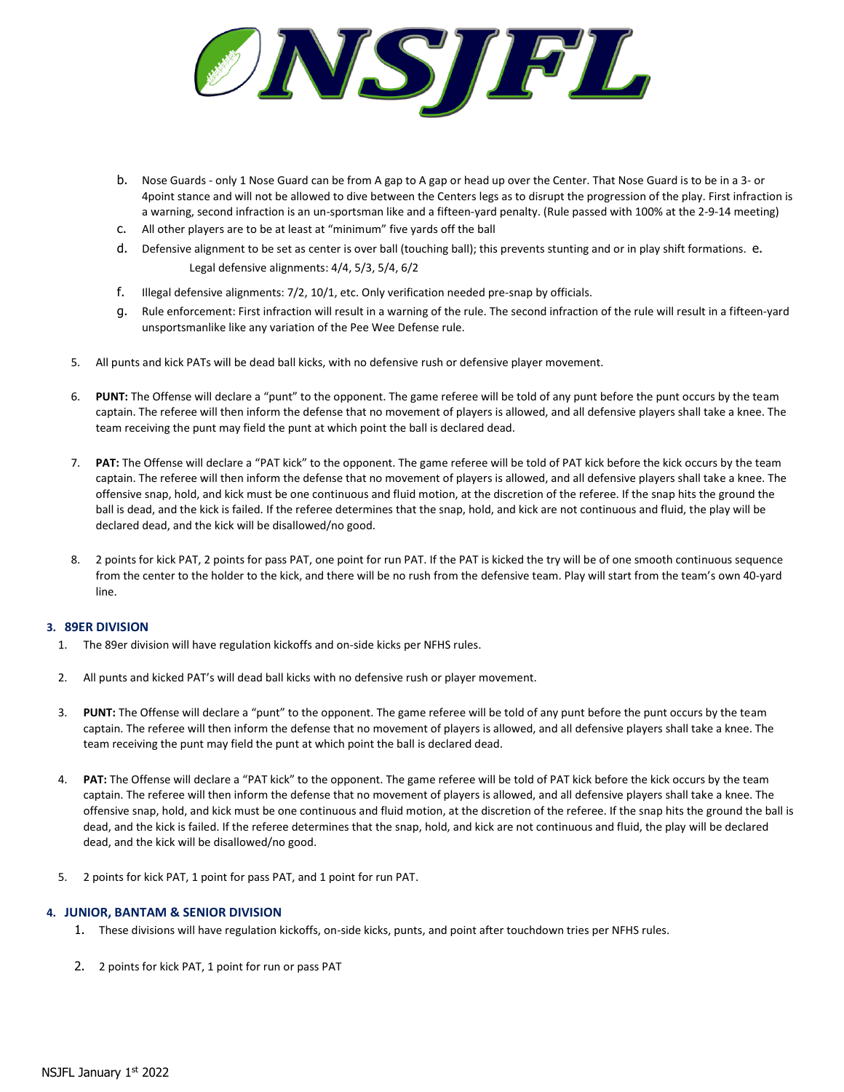

- b. Nose Guards only 1 Nose Guard can be from A gap to A gap or head up over the Center. That Nose Guard is to be in a 3- or 4point stance and will not be allowed to dive between the Centers legs as to disrupt the progression of the play. First infraction is a warning, second infraction is an un-sportsman like and a fifteen-yard penalty. (Rule passed with 100% at the 2-9-14 meeting)
- c. All other players are to be at least at "minimum" five yards off the ball
- d. Defensive alignment to be set as center is over ball (touching ball); this prevents stunting and or in play shift formations. e. Legal defensive alignments: 4/4, 5/3, 5/4, 6/2
- f. Illegal defensive alignments: 7/2, 10/1, etc. Only verification needed pre-snap by officials.
- g. Rule enforcement: First infraction will result in a warning of the rule. The second infraction of the rule will result in a fifteen-yard unsportsmanlike like any variation of the Pee Wee Defense rule.
- 5. All punts and kick PATs will be dead ball kicks, with no defensive rush or defensive player movement.
- 6. **PUNT:** The Offense will declare a "punt" to the opponent. The game referee will be told of any punt before the punt occurs by the team captain. The referee will then inform the defense that no movement of players is allowed, and all defensive players shall take a knee. The team receiving the punt may field the punt at which point the ball is declared dead.
- 7. **PAT:** The Offense will declare a "PAT kick" to the opponent. The game referee will be told of PAT kick before the kick occurs by the team captain. The referee will then inform the defense that no movement of players is allowed, and all defensive players shall take a knee. The offensive snap, hold, and kick must be one continuous and fluid motion, at the discretion of the referee. If the snap hits the ground the ball is dead, and the kick is failed. If the referee determines that the snap, hold, and kick are not continuous and fluid, the play will be declared dead, and the kick will be disallowed/no good.
- 8. 2 points for kick PAT, 2 points for pass PAT, one point for run PAT. If the PAT is kicked the try will be of one smooth continuous sequence from the center to the holder to the kick, and there will be no rush from the defensive team. Play will start from the team's own 40-yard line.

## **3. 89ER DIVISION**

- 1. The 89er division will have regulation kickoffs and on-side kicks per NFHS rules.
- 2. All punts and kicked PAT's will dead ball kicks with no defensive rush or player movement.
- 3. **PUNT:** The Offense will declare a "punt" to the opponent. The game referee will be told of any punt before the punt occurs by the team captain. The referee will then inform the defense that no movement of players is allowed, and all defensive players shall take a knee. The team receiving the punt may field the punt at which point the ball is declared dead.
- 4. **PAT:** The Offense will declare a "PAT kick" to the opponent. The game referee will be told of PAT kick before the kick occurs by the team captain. The referee will then inform the defense that no movement of players is allowed, and all defensive players shall take a knee. The offensive snap, hold, and kick must be one continuous and fluid motion, at the discretion of the referee. If the snap hits the ground the ball is dead, and the kick is failed. If the referee determines that the snap, hold, and kick are not continuous and fluid, the play will be declared dead, and the kick will be disallowed/no good.
- 5. 2 points for kick PAT, 1 point for pass PAT, and 1 point for run PAT.

## **4. JUNIOR, BANTAM & SENIOR DIVISION**

- 1. These divisions will have regulation kickoffs, on-side kicks, punts, and point after touchdown tries per NFHS rules.
- 2. 2 points for kick PAT, 1 point for run or pass PAT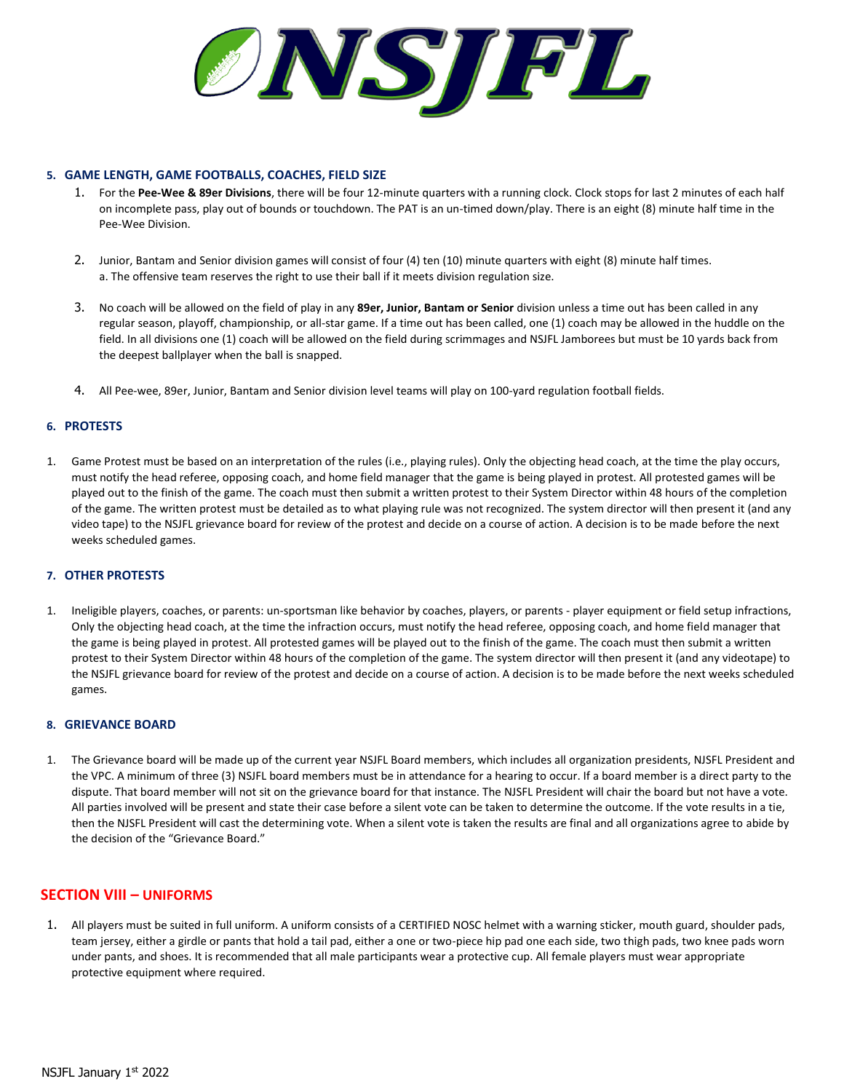

## **5. GAME LENGTH, GAME FOOTBALLS, COACHES, FIELD SIZE**

- 1. For the **Pee-Wee & 89er Divisions**, there will be four 12-minute quarters with a running clock. Clock stops for last 2 minutes of each half on incomplete pass, play out of bounds or touchdown. The PAT is an un-timed down/play. There is an eight (8) minute half time in the Pee-Wee Division.
- 2. Junior, Bantam and Senior division games will consist of four (4) ten (10) minute quarters with eight (8) minute half times. a. The offensive team reserves the right to use their ball if it meets division regulation size.
- 3. No coach will be allowed on the field of play in any **89er, Junior, Bantam or Senior** division unless a time out has been called in any regular season, playoff, championship, or all-star game. If a time out has been called, one (1) coach may be allowed in the huddle on the field. In all divisions one (1) coach will be allowed on the field during scrimmages and NSJFL Jamborees but must be 10 yards back from the deepest ballplayer when the ball is snapped.
- 4. All Pee-wee, 89er, Junior, Bantam and Senior division level teams will play on 100-yard regulation football fields.

## **6. PROTESTS**

1. Game Protest must be based on an interpretation of the rules (i.e., playing rules). Only the objecting head coach, at the time the play occurs, must notify the head referee, opposing coach, and home field manager that the game is being played in protest. All protested games will be played out to the finish of the game. The coach must then submit a written protest to their System Director within 48 hours of the completion of the game. The written protest must be detailed as to what playing rule was not recognized. The system director will then present it (and any video tape) to the NSJFL grievance board for review of the protest and decide on a course of action. A decision is to be made before the next weeks scheduled games.

#### **7. OTHER PROTESTS**

1. Ineligible players, coaches, or parents: un-sportsman like behavior by coaches, players, or parents - player equipment or field setup infractions, Only the objecting head coach, at the time the infraction occurs, must notify the head referee, opposing coach, and home field manager that the game is being played in protest. All protested games will be played out to the finish of the game. The coach must then submit a written protest to their System Director within 48 hours of the completion of the game. The system director will then present it (and any videotape) to the NSJFL grievance board for review of the protest and decide on a course of action. A decision is to be made before the next weeks scheduled games.

#### **8. GRIEVANCE BOARD**

1. The Grievance board will be made up of the current year NSJFL Board members, which includes all organization presidents, NJSFL President and the VPC. A minimum of three (3) NSJFL board members must be in attendance for a hearing to occur. If a board member is a direct party to the dispute. That board member will not sit on the grievance board for that instance. The NJSFL President will chair the board but not have a vote. All parties involved will be present and state their case before a silent vote can be taken to determine the outcome. If the vote results in a tie, then the NJSFL President will cast the determining vote. When a silent vote is taken the results are final and all organizations agree to abide by the decision of the "Grievance Board."

## **SECTION VIII – UNIFORMS**

1. All players must be suited in full uniform. A uniform consists of a CERTIFIED NOSC helmet with a warning sticker, mouth guard, shoulder pads, team jersey, either a girdle or pants that hold a tail pad, either a one or two-piece hip pad one each side, two thigh pads, two knee pads worn under pants, and shoes. It is recommended that all male participants wear a protective cup. All female players must wear appropriate protective equipment where required.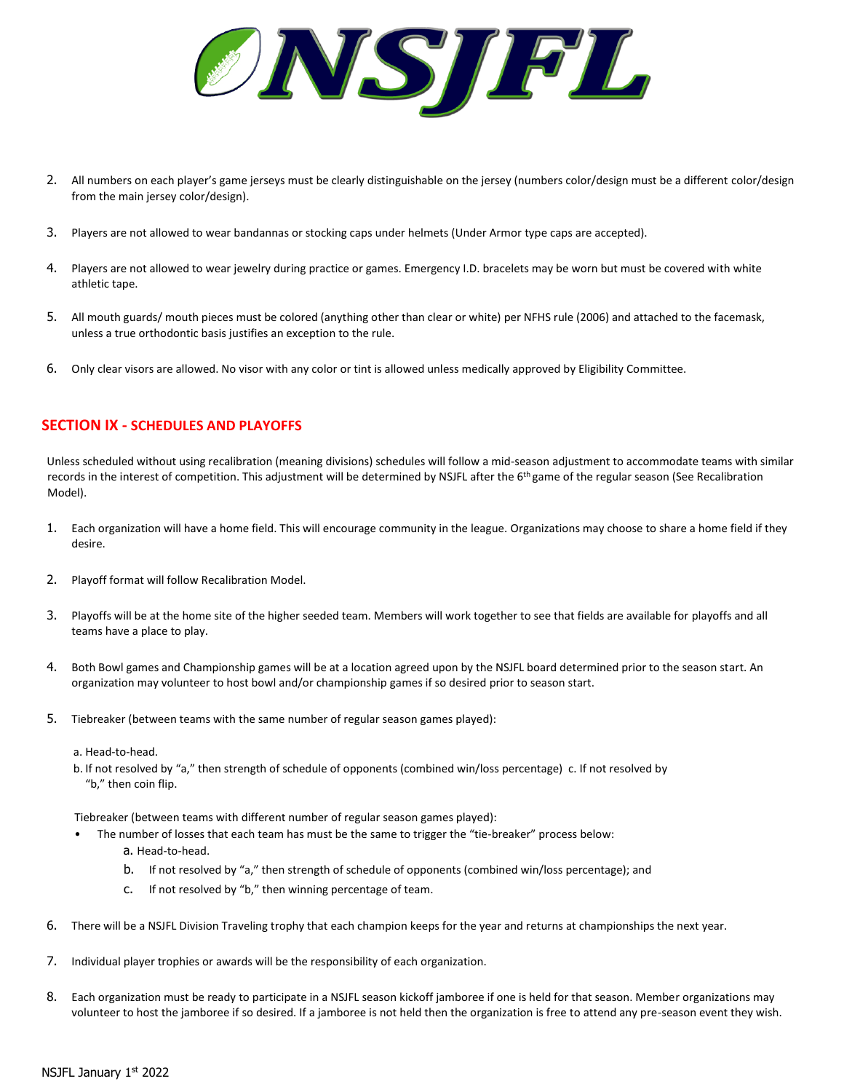

- 2. All numbers on each player's game jerseys must be clearly distinguishable on the jersey (numbers color/design must be a different color/design from the main jersey color/design).
- 3. Players are not allowed to wear bandannas or stocking caps under helmets (Under Armor type caps are accepted).
- 4. Players are not allowed to wear jewelry during practice or games. Emergency I.D. bracelets may be worn but must be covered with white athletic tape.
- 5. All mouth guards/ mouth pieces must be colored (anything other than clear or white) per NFHS rule (2006) and attached to the facemask, unless a true orthodontic basis justifies an exception to the rule.
- 6. Only clear visors are allowed. No visor with any color or tint is allowed unless medically approved by Eligibility Committee.

## **SECTION IX - SCHEDULES AND PLAYOFFS**

Unless scheduled without using recalibration (meaning divisions) schedules will follow a mid-season adjustment to accommodate teams with similar records in the interest of competition. This adjustment will be determined by NSJFL after the 6<sup>th</sup> game of the regular season (See Recalibration Model).

- 1. Each organization will have a home field. This will encourage community in the league. Organizations may choose to share a home field if they desire.
- 2. Playoff format will follow Recalibration Model.
- 3. Playoffs will be at the home site of the higher seeded team. Members will work together to see that fields are available for playoffs and all teams have a place to play.
- 4. Both Bowl games and Championship games will be at a location agreed upon by the NSJFL board determined prior to the season start. An organization may volunteer to host bowl and/or championship games if so desired prior to season start.
- 5. Tiebreaker (between teams with the same number of regular season games played):
	- a. Head-to-head.
	- b. If not resolved by "a," then strength of schedule of opponents (combined win/loss percentage) c. If not resolved by "b," then coin flip.

Tiebreaker (between teams with different number of regular season games played):

- The number of losses that each team has must be the same to trigger the "tie-breaker" process below: a. Head-to-head.
	- b. If not resolved by "a," then strength of schedule of opponents (combined win/loss percentage); and
	- c. If not resolved by "b," then winning percentage of team.
- 6. There will be a NSJFL Division Traveling trophy that each champion keeps for the year and returns at championships the next year.
- 7. Individual player trophies or awards will be the responsibility of each organization.
- 8. Each organization must be ready to participate in a NSJFL season kickoff jamboree if one is held for that season. Member organizations may volunteer to host the jamboree if so desired. If a jamboree is not held then the organization is free to attend any pre-season event they wish.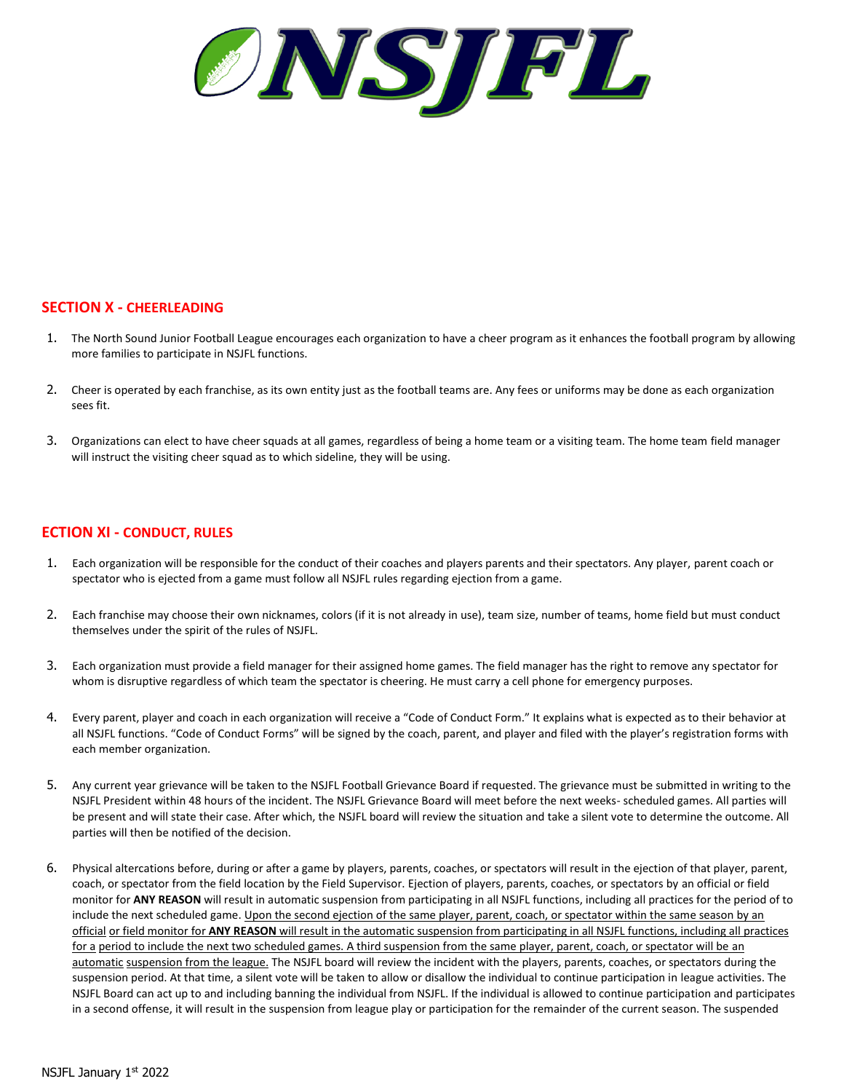

## **SECTION X - CHEERLEADING**

- 1. The North Sound Junior Football League encourages each organization to have a cheer program as it enhances the football program by allowing more families to participate in NSJFL functions.
- 2. Cheer is operated by each franchise, as its own entity just as the football teams are. Any fees or uniforms may be done as each organization sees fit.
- 3. Organizations can elect to have cheer squads at all games, regardless of being a home team or a visiting team. The home team field manager will instruct the visiting cheer squad as to which sideline, they will be using.

## **ECTION XI - CONDUCT, RULES**

- 1. Each organization will be responsible for the conduct of their coaches and players parents and their spectators. Any player, parent coach or spectator who is ejected from a game must follow all NSJFL rules regarding ejection from a game.
- 2. Each franchise may choose their own nicknames, colors (if it is not already in use), team size, number of teams, home field but must conduct themselves under the spirit of the rules of NSJFL.
- 3. Each organization must provide a field manager for their assigned home games. The field manager has the right to remove any spectator for whom is disruptive regardless of which team the spectator is cheering. He must carry a cell phone for emergency purposes.
- 4. Every parent, player and coach in each organization will receive a "Code of Conduct Form." It explains what is expected as to their behavior at all NSJFL functions. "Code of Conduct Forms" will be signed by the coach, parent, and player and filed with the player's registration forms with each member organization.
- 5. Any current year grievance will be taken to the NSJFL Football Grievance Board if requested. The grievance must be submitted in writing to the NSJFL President within 48 hours of the incident. The NSJFL Grievance Board will meet before the next weeks- scheduled games. All parties will be present and will state their case. After which, the NSJFL board will review the situation and take a silent vote to determine the outcome. All parties will then be notified of the decision.
- 6. Physical altercations before, during or after a game by players, parents, coaches, or spectators will result in the ejection of that player, parent, coach, or spectator from the field location by the Field Supervisor. Ejection of players, parents, coaches, or spectators by an official or field monitor for **ANY REASON** will result in automatic suspension from participating in all NSJFL functions, including all practices for the period of to include the next scheduled game. Upon the second ejection of the same player, parent, coach, or spectator within the same season by an official or field monitor for **ANY REASON** will result in the automatic suspension from participating in all NSJFL functions, including all practices for a period to include the next two scheduled games. A third suspension from the same player, parent, coach, or spectator will be an automatic suspension from the league. The NSJFL board will review the incident with the players, parents, coaches, or spectators during the suspension period. At that time, a silent vote will be taken to allow or disallow the individual to continue participation in league activities. The NSJFL Board can act up to and including banning the individual from NSJFL. If the individual is allowed to continue participation and participates in a second offense, it will result in the suspension from league play or participation for the remainder of the current season. The suspended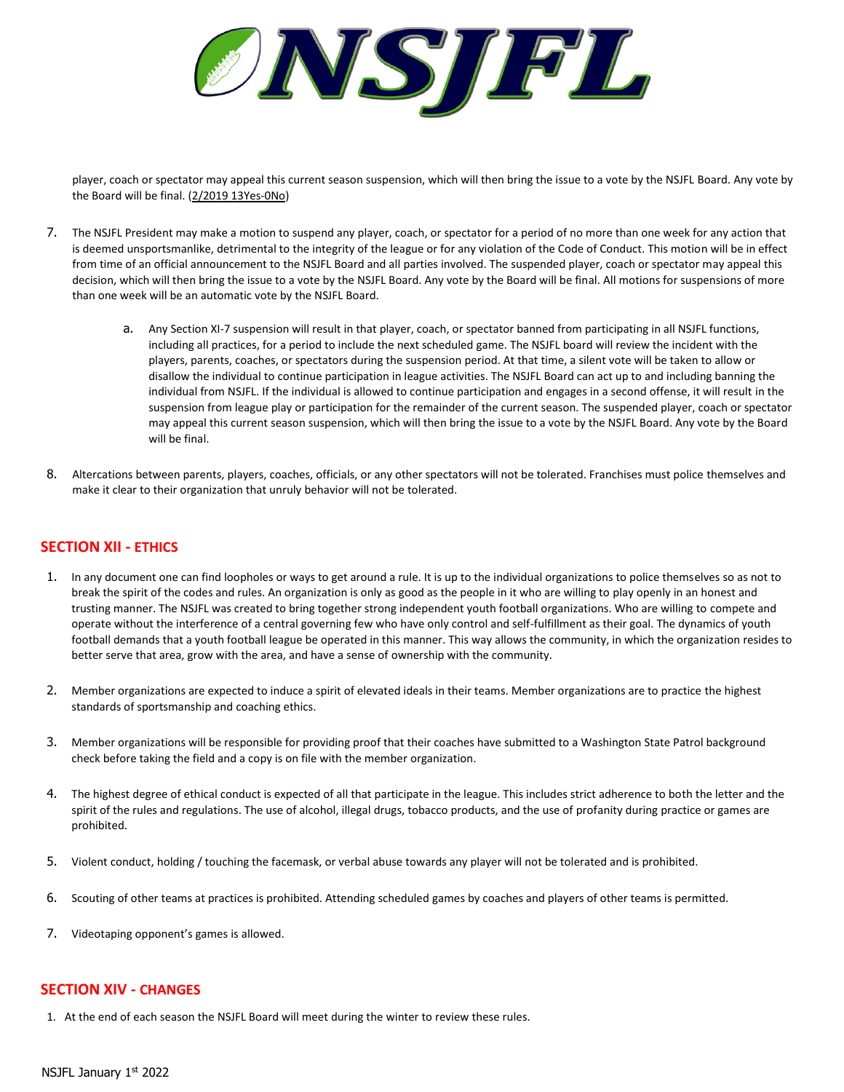ØINSTIFIL

player, coach or spectator may appeal this current season suspension, which will then bring the issue to a vote by the NSJFL Board. Any vote by the Board will be final. (2/2019 13Yes-0No)

- 7. The NSJFL President may make a motion to suspend any player, coach, or spectator for a period of no more than one week for any action that is deemed unsportsmanlike, detrimental to the integrity of the league or for any violation of the Code of Conduct. This motion will be in effect from time of an official announcement to the NSJFL Board and all parties involved. The suspended player, coach or spectator may appeal this decision, which will then bring the issue to a vote by the NSJFL Board. Any vote by the Board will be final. All motions for suspensions of more than one week will be an automatic vote by the NSJFL Board.
	- a. Any Section XI-7 suspension will result in that player, coach, or spectator banned from participating in all NSJFL functions, including all practices, for a period to include the next scheduled game. The NSJFL board will review the incident with the players, parents, coaches, or spectators during the suspension period. At that time, a silent vote will be taken to allow or disallow the individual to continue participation in league activities. The NSJFL Board can act up to and including banning the individual from NSJFL. If the individual is allowed to continue participation and engages in a second offense, it will result in the suspension from league play or participation for the remainder of the current season. The suspended player, coach or spectator may appeal this current season suspension, which will then bring the issue to a vote by the NSJFL Board. Any vote by the Board will be final.
- 8. Altercations between parents, players, coaches, officials, or any other spectators will not be tolerated. Franchises must police themselves and make it clear to their organization that unruly behavior will not be tolerated.

## **SECTION XII - ETHICS**

- 1. In any document one can find loopholes or ways to get around a rule. It is up to the individual organizations to police themselves so as not to break the spirit of the codes and rules. An organization is only as good as the people in it who are willing to play openly in an honest and trusting manner. The NSJFL was created to bring together strong independent youth football organizations. Who are willing to compete and operate without the interference of a central governing few who have only control and self-fulfillment as their goal. The dynamics of youth football demands that a youth football league be operated in this manner. This way allows the community, in which the organization resides to better serve that area, grow with the area, and have a sense of ownership with the community.
- 2. Member organizations are expected to induce a spirit of elevated ideals in their teams. Member organizations are to practice the highest standards of sportsmanship and coaching ethics.
- 3. Member organizations will be responsible for providing proof that their coaches have submitted to a Washington State Patrol background check before taking the field and a copy is on file with the member organization.
- 4. The highest degree of ethical conduct is expected of all that participate in the league. This includes strict adherence to both the letter and the spirit of the rules and regulations. The use of alcohol, illegal drugs, tobacco products, and the use of profanity during practice or games are prohibited.
- 5. Violent conduct, holding / touching the facemask, or verbal abuse towards any player will not be tolerated and is prohibited.
- 6. Scouting of other teams at practices is prohibited. Attending scheduled games by coaches and players of other teams is permitted.
- 7. Videotaping opponent's games is allowed.

## **SECTION XIV - CHANGES**

1. At the end of each season the NSJFL Board will meet during the winter to review these rules.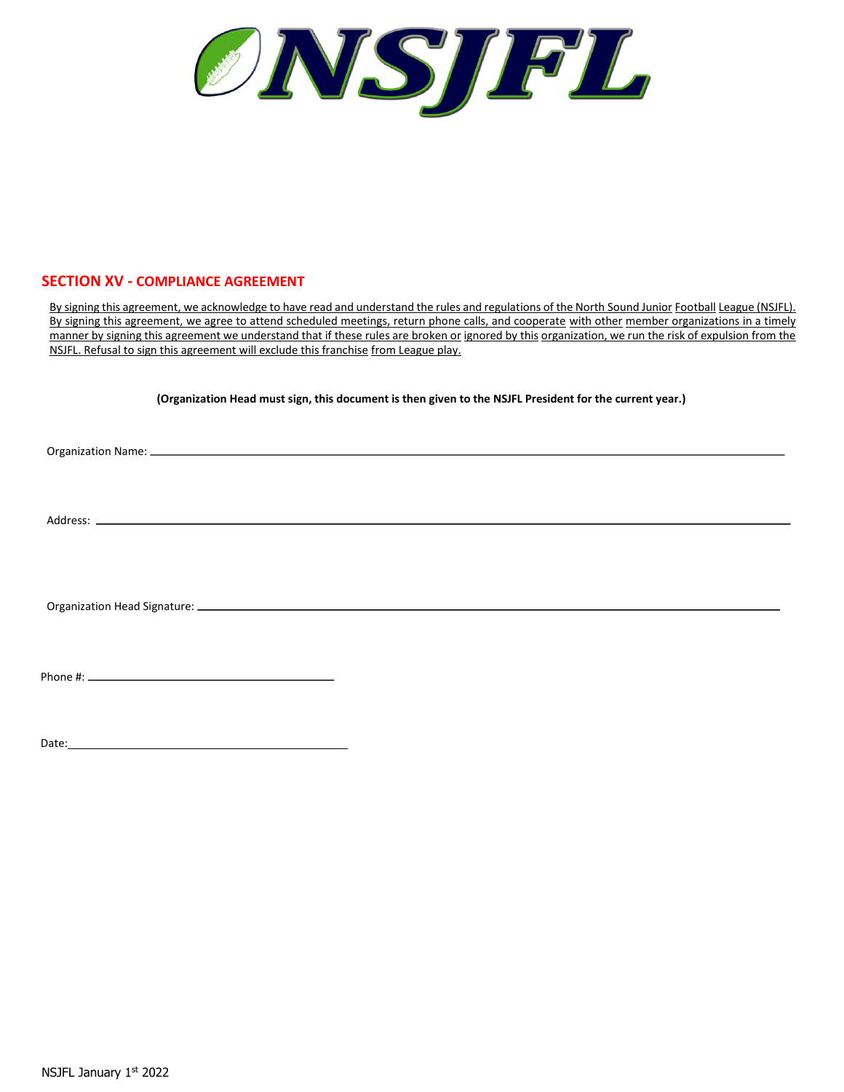# **SECTION XV - COMPLIANCE AGREEMENT**

By signing this agreement, we acknowledge to have read and understand the rules and regulations of the North Sound Junior Football League (NSJFL). By signing this agreement, we agree to attend scheduled meetings, return phone calls, and cooperate with other member organizations in a timely manner by signing this agreement we understand that if these rules are broken or ignored by this organization, we run the risk of expulsion from the NSJFL. Refusal to sign this agreement will exclude this franchise from League play.

**(Organization Head must sign, this document is then given to the NSJFL President for the current year.)**

Organization Name:

Address:  $\equiv$ 

Organization Head Signature:

Phone #:

Date: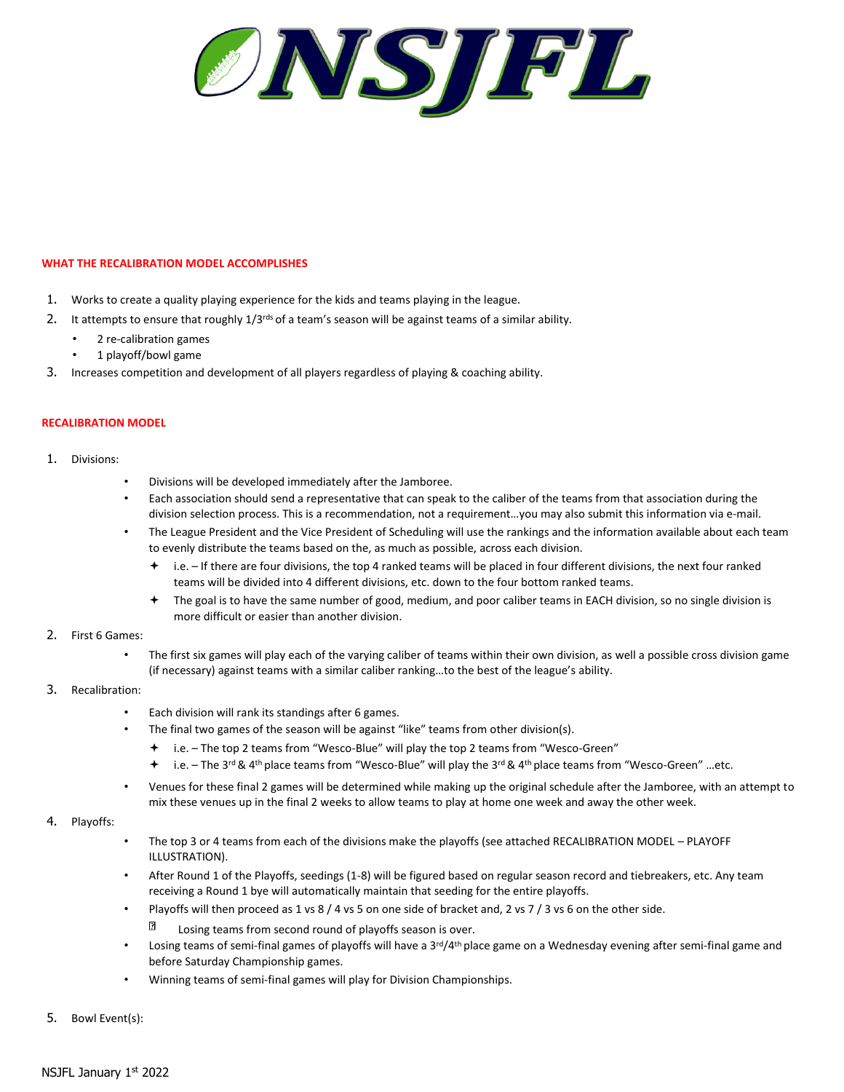ONSJEL

#### **WHAT THE RECALIBRATION MODEL ACCOMPLISHES**

- 1. Works to create a quality playing experience for the kids and teams playing in the league.
- 2. It attempts to ensure that roughly 1/3<sup>rds</sup> of a team's season will be against teams of a similar ability.
	- 2 re-calibration games
	- 1 playoff/bowl game
- 3. Increases competition and development of all players regardless of playing & coaching ability.

#### **RECALIBRATION MODEL**

- 1. Divisions:
	- Divisions will be developed immediately after the Jamboree.
	- Each association should send a representative that can speak to the caliber of the teams from that association during the division selection process. This is a recommendation, not a requirement…you may also submit this information via e-mail.
	- The League President and the Vice President of Scheduling will use the rankings and the information available about each team to evenly distribute the teams based on the, as much as possible, across each division.
		- i.e. If there are four divisions, the top 4 ranked teams will be placed in four different divisions, the next four ranked teams will be divided into 4 different divisions, etc. down to the four bottom ranked teams.
		- The goal is to have the same number of good, medium, and poor caliber teams in EACH division, so no single division is more difficult or easier than another division.

#### 2. First 6 Games:

• The first six games will play each of the varying caliber of teams within their own division, as well a possible cross division game (if necessary) against teams with a similar caliber ranking…to the best of the league's ability.

## 3. Recalibration:

- Each division will rank its standings after 6 games.
- The final two games of the season will be against "like" teams from other division(s).
	- i.e. The top 2 teams from "Wesco-Blue" will play the top 2 teams from "Wesco-Green"
	- $\div$  i.e. The 3<sup>rd</sup> & 4<sup>th</sup> place teams from "Wesco-Blue" will play the 3<sup>rd</sup> & 4<sup>th</sup> place teams from "Wesco-Green" ...etc.
- Venues for these final 2 games will be determined while making up the original schedule after the Jamboree, with an attempt to mix these venues up in the final 2 weeks to allow teams to play at home one week and away the other week.

#### 4. Playoffs:

- The top 3 or 4 teams from each of the divisions make the playoffs (see attached RECALIBRATION MODEL PLAYOFF ILLUSTRATION).
- After Round 1 of the Playoffs, seedings (1-8) will be figured based on regular season record and tiebreakers, etc. Any team receiving a Round 1 bye will automatically maintain that seeding for the entire playoffs.
	- Playoffs will then proceed as 1 vs 8 / 4 vs 5 on one side of bracket and, 2 vs 7 / 3 vs 6 on the other side.
		- n Losing teams from second round of playoffs season is over.
- Losing teams of semi-final games of playoffs will have a 3<sup>rd</sup>/4<sup>th</sup> place game on a Wednesday evening after semi-final game and before Saturday Championship games.
- Winning teams of semi-final games will play for Division Championships.
- 5. Bowl Event(s):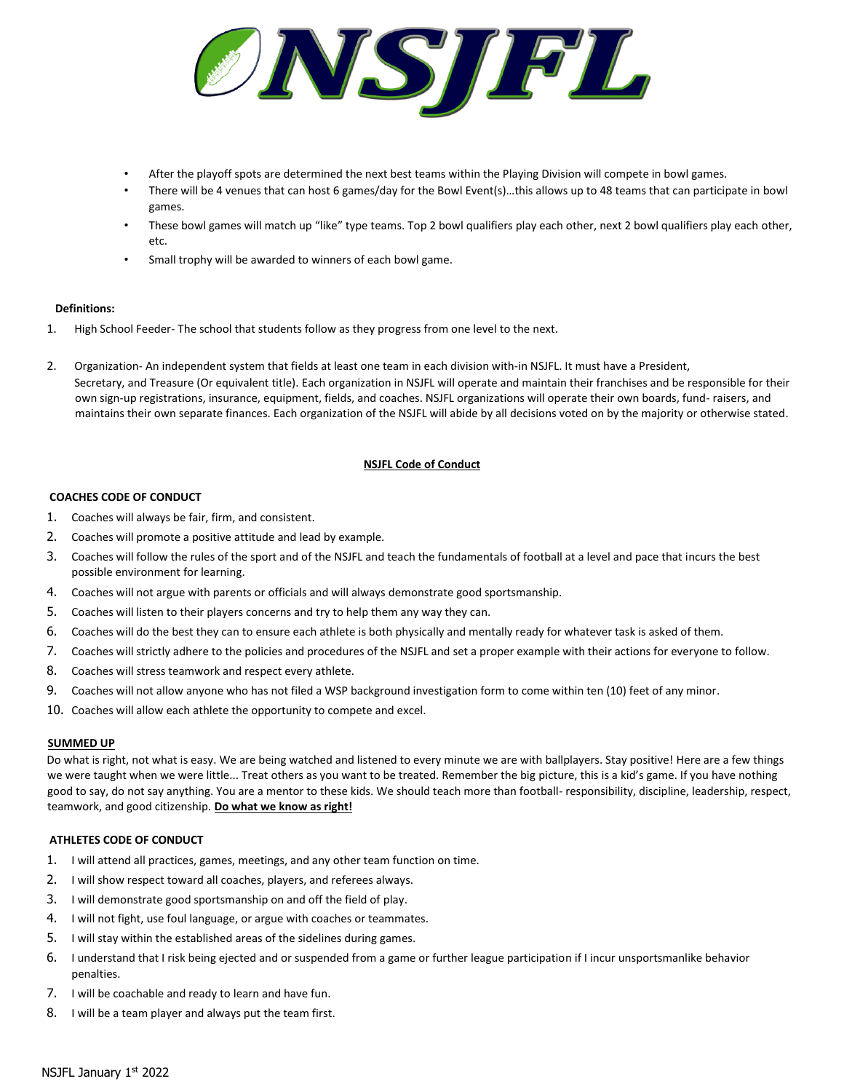

- After the playoff spots are determined the next best teams within the Playing Division will compete in bowl games.
- There will be 4 venues that can host 6 games/day for the Bowl Event(s)...this allows up to 48 teams that can participate in bowl games.
- These bowl games will match up "like" type teams. Top 2 bowl qualifiers play each other, next 2 bowl qualifiers play each other, etc.
- Small trophy will be awarded to winners of each bowl game.

### **Definitions:**

- 1. High School Feeder- The school that students follow as they progress from one level to the next.
- 2. Organization- An independent system that fields at least one team in each division with-in NSJFL. It must have a President, Secretary, and Treasure (Or equivalent title). Each organization in NSJFL will operate and maintain their franchises and be responsible for their own sign-up registrations, insurance, equipment, fields, and coaches. NSJFL organizations will operate their own boards, fund- raisers, and maintains their own separate finances. Each organization of the NSJFL will abide by all decisions voted on by the majority or otherwise stated.

## **NSJFL Code of Conduct**

### **COACHES CODE OF CONDUCT**

- 1. Coaches will always be fair, firm, and consistent.
- 2. Coaches will promote a positive attitude and lead by example.
- 3. Coaches will follow the rules of the sport and of the NSJFL and teach the fundamentals of football at a level and pace that incurs the best possible environment for learning.
- 4. Coaches will not argue with parents or officials and will always demonstrate good sportsmanship.
- 5. Coaches will listen to their players concerns and try to help them any way they can.
- 6. Coaches will do the best they can to ensure each athlete is both physically and mentally ready for whatever task is asked of them.
- 7. Coaches will strictly adhere to the policies and procedures of the NSJFL and set a proper example with their actions for everyone to follow.
- 8. Coaches will stress teamwork and respect every athlete.
- 9. Coaches will not allow anyone who has not filed a WSP background investigation form to come within ten (10) feet of any minor.
- 10. Coaches will allow each athlete the opportunity to compete and excel.

#### **SUMMED UP**

Do what is right, not what is easy. We are being watched and listened to every minute we are with ballplayers. Stay positive! Here are a few things we were taught when we were little... Treat others as you want to be treated. Remember the big picture, this is a kid's game. If you have nothing good to say, do not say anything. You are a mentor to these kids. We should teach more than football- responsibility, discipline, leadership, respect, teamwork, and good citizenship. **Do what we know as right!**

## **ATHLETES CODE OF CONDUCT**

- 1. I will attend all practices, games, meetings, and any other team function on time.
- 2. I will show respect toward all coaches, players, and referees always.
- 3. I will demonstrate good sportsmanship on and off the field of play.
- 4. I will not fight, use foul language, or argue with coaches or teammates.
- 5. I will stay within the established areas of the sidelines during games.
- 6. I understand that I risk being ejected and or suspended from a game or further league participation if I incur unsportsmanlike behavior penalties.
- 7. I will be coachable and ready to learn and have fun.
- 8. I will be a team player and always put the team first.